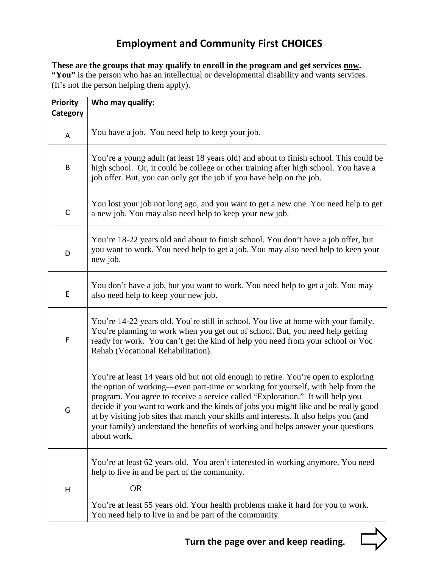## **Employment and Community First CHOICES**

These are the groups that may qualify to enroll in the program and get services **now**. "You" is the person who has an intellectual or developmental disability and wants services. (It's not the person helping them apply).

| <b>Priority</b> | Who may qualify:                                                                                                                                                                                                                                                                                                                                                                                                                                                                                                                           |  |
|-----------------|--------------------------------------------------------------------------------------------------------------------------------------------------------------------------------------------------------------------------------------------------------------------------------------------------------------------------------------------------------------------------------------------------------------------------------------------------------------------------------------------------------------------------------------------|--|
| Category        |                                                                                                                                                                                                                                                                                                                                                                                                                                                                                                                                            |  |
| A               | You have a job. You need help to keep your job.                                                                                                                                                                                                                                                                                                                                                                                                                                                                                            |  |
| B               | You're a young adult (at least 18 years old) and about to finish school. This could be<br>high school. Or, it could be college or other training after high school. You have a<br>job offer. But, you can only get the job if you have help on the job.                                                                                                                                                                                                                                                                                    |  |
| $\mathsf C$     | You lost your job not long ago, and you want to get a new one. You need help to get<br>a new job. You may also need help to keep your new job.                                                                                                                                                                                                                                                                                                                                                                                             |  |
| D               | You're 18-22 years old and about to finish school. You don't have a job offer, but<br>you want to work. You need help to get a job. You may also need help to keep your<br>new job.                                                                                                                                                                                                                                                                                                                                                        |  |
| E               | You don't have a job, but you want to work. You need help to get a job. You may<br>also need help to keep your new job.                                                                                                                                                                                                                                                                                                                                                                                                                    |  |
| F               | You're 14-22 years old. You're still in school. You live at home with your family.<br>You're planning to work when you get out of school. But, you need help getting<br>ready for work. You can't get the kind of help you need from your school or Voc<br>Rehab (Vocational Rehabilitation).                                                                                                                                                                                                                                              |  |
| G               | You're at least 14 years old but not old enough to retire. You're open to exploring<br>the option of working—even part-time or working for yourself, with help from the<br>program. You agree to receive a service called "Exploration." It will help you<br>decide if you want to work and the kinds of jobs you might like and be really good<br>at by visiting job sites that match your skills and interests. It also helps you (and<br>your family) understand the benefits of working and helps answer your questions<br>about work. |  |
| Н               | You're at least 62 years old. You aren't interested in working anymore. You need<br>help to live in and be part of the community.<br><b>OR</b>                                                                                                                                                                                                                                                                                                                                                                                             |  |
|                 | You're at least 55 years old. Your health problems make it hard for you to work.<br>You need help to live in and be part of the community.                                                                                                                                                                                                                                                                                                                                                                                                 |  |

**Turn the page over and keep reading.**